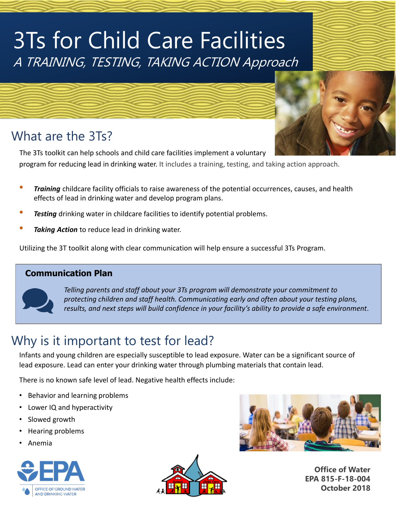# 3Ts for Child Care Facilities A TRAINING, TESTING, TAKING ACTION Approach

### What are the 3Ts?

The 3Ts toolkit can help schools and child care facilities implement a voluntary program for reducing lead in drinking water. It includes a training, testing, and taking action approach.

- *Training* childcare facility officials to raise awareness of the potential occurrences, causes, and health effects of lead in drinking water and develop program plans.
- **Testing** drinking water in childcare facilities to identify potential problems.
- **Taking Action** to reduce lead in drinking water.

Utilizing the 3T toolkit along with clear communication will help ensure a successful 3Ts Program.

#### **Communication Plan**



*Telling parents and staff about your 3Ts program will demonstrate your commitment to protecting children and staff health. Communicating early and often about your testing plans, results, and next steps will build confidence in your facility's ability to provide a safe environment*.

## Why is it important to test for lead?

Infants and young children are especially susceptible to lead exposure. Water can be a significant source of lead exposure. Lead can enter your drinking water through plumbing materials that contain lead.

There is no known safe level of lead. Negative health effects include:

- Behavior and learning problems
- Lower IQ and hyperactivity
- Slowed growth
- Hearing problems
- Anemia







**Office of Water EPA 815-F-18-004 October 2018**